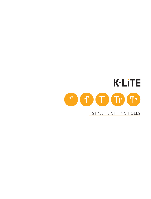

### STREET LIGHTING POLES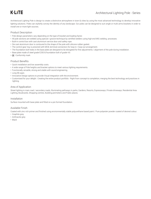# **K-LiTE**

Architectural Lighting Pole is design to create a distinctive atmosphere in town & cities by using the most advanced technology to develop innovative lighting solutions. Poles can stylishly convey the identity of any landscape. Our poles can be designed to suit single or multi arms brackets in order to install one or more light sources.

#### Product Description

- Pole design parameters vary depending on the type of bracket and loading factor.
- All pole sections are welded using special v groove technique by certified welders using high end MIG welding processes.
- Built-in control box with cast aluminium service door and safety rope.
- Die cast aluminium door is contoured to the shape of the pole with silicone rubber gasket.
- The control gear tray is prewired with MCB, terminal connectors for loop-in / loop-out arrangement.
- The foundation bolt holes in the base plate are designed to be elongated for fine adjustments / alignment of the pole during installation.
- Base plate made of steel grade E250 & foundation bolt of grade 4.6
- $\cdot$  ( $\epsilon$  Conformity mark

#### Product Benefits

- Quick installation and low assembly costs.
- A wide range of Pole heights and bracket options to meet various lighting requirements.
- Functionally versatile, strong and stable with sound engineering.
- Long life span.
- Innovative Design options to provide Visual integration with the environment.
- Customised for your delight : Creating the entire product portfolio Right from concept to completion, merging the best technology and practices in lighting.

#### Area of Application

Street lighting in main road / secondary roads, Illuminating pathways in parks, Gardens, Resorts, Expressways, Private driveways, Residential Area Lighting, Boulevards, Shopping centres, Building perimeters and Public places.

#### Installation

Surface mounted with base plate and fitted on a pre formed foundation.

#### Available Finish

Coated with zinc rich primer and finished using environmentally stable polyurethane based paint / Pure polyester powder coated of desired colour.

- Graphite grey
- Anthracite grey
- Black